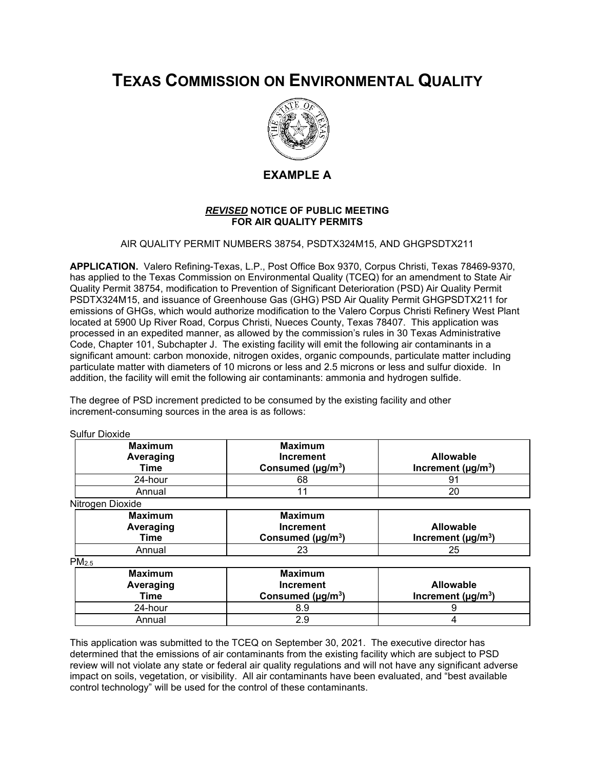# **TEXAS COMMISSION ON ENVIRONMENTAL QUALITY**



# **EXAMPLE A**

### *REVISED* **NOTICE OF PUBLIC MEETING FOR AIR QUALITY PERMITS**

AIR QUALITY PERMIT NUMBERS 38754, PSDTX324M15, AND GHGPSDTX211

**APPLICATION.** Valero Refining-Texas, L.P., Post Office Box 9370, Corpus Christi, Texas 78469-9370, has applied to the Texas Commission on Environmental Quality (TCEQ) for an amendment to State Air Quality Permit 38754, modification to Prevention of Significant Deterioration (PSD) Air Quality Permit PSDTX324M15, and issuance of Greenhouse Gas (GHG) PSD Air Quality Permit GHGPSDTX211 for emissions of GHGs, which would authorize modification to the Valero Corpus Christi Refinery West Plant located at 5900 Up River Road, Corpus Christi, Nueces County, Texas 78407. This application was processed in an expedited manner, as allowed by the commission's rules in 30 Texas Administrative Code, Chapter 101, Subchapter J. The existing facility will emit the following air contaminants in a significant amount: carbon monoxide, nitrogen oxides, organic compounds, particulate matter including particulate matter with diameters of 10 microns or less and 2.5 microns or less and sulfur dioxide. In addition, the facility will emit the following air contaminants: ammonia and hydrogen sulfide.

The degree of PSD increment predicted to be consumed by the existing facility and other increment-consuming sources in the area is as follows:

Sulfur Dioxide

| <b>Maximum</b><br>Averaging<br>Time | <b>Maximum</b><br><b>Increment</b><br>Consumed ( $\mu$ g/m <sup>3</sup> ) | <b>Allowable</b><br>Increment ( $\mu$ g/m <sup>3</sup> ) |
|-------------------------------------|---------------------------------------------------------------------------|----------------------------------------------------------|
| 24-hour                             | 68                                                                        | 91                                                       |
| Annual                              | 11                                                                        | 20                                                       |
| Nitrogen Dioxide                    |                                                                           |                                                          |
| <b>Maximum</b><br>Averaging<br>Time | <b>Maximum</b><br><b>Increment</b><br>Consumed ( $\mu$ g/m <sup>3</sup> ) | <b>Allowable</b><br>Increment ( $\mu$ g/m <sup>3</sup> ) |
| Annual                              | 23                                                                        | 25                                                       |
| PM <sub>2.5</sub>                   |                                                                           |                                                          |
| <b>Maximum</b><br>Averaging<br>Time | <b>Maximum</b><br><b>Increment</b><br>Consumed ( $\mu$ g/m <sup>3</sup> ) | <b>Allowable</b><br>Increment ( $\mu$ g/m <sup>3</sup> ) |
| 24-hour                             | 8.9                                                                       | 9                                                        |
| Annual                              | 2.9                                                                       | 4                                                        |

This application was submitted to the TCEQ on September 30, 2021. The executive director has determined that the emissions of air contaminants from the existing facility which are subject to PSD review will not violate any state or federal air quality regulations and will not have any significant adverse impact on soils, vegetation, or visibility. All air contaminants have been evaluated, and "best available control technology" will be used for the control of these contaminants.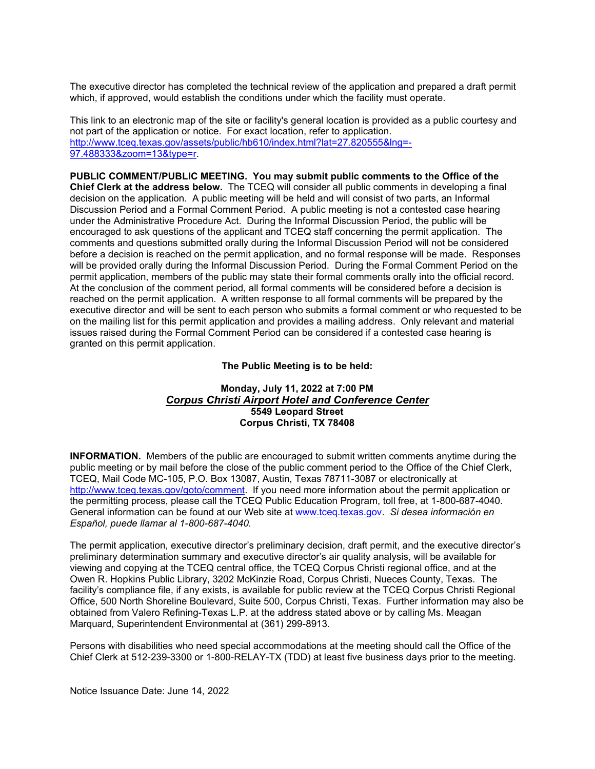The executive director has completed the technical review of the application and prepared a draft permit which, if approved, would establish the conditions under which the facility must operate.

This link to an electronic map of the site or facility's general location is provided as a public courtesy and not part of the application or notice. For exact location, refer to application. [http://www.tceq.texas.gov/assets/public/hb610/index.html?lat=27.820555&lng=-](http://www.tceq.texas.gov/assets/public/hb610/index.html?lat=27.820555&lng=-97.488333&zoom=13&type=r) [97.488333&zoom=13&type=r.](http://www.tceq.texas.gov/assets/public/hb610/index.html?lat=27.820555&lng=-97.488333&zoom=13&type=r)

**PUBLIC COMMENT/PUBLIC MEETING. You may submit public comments to the Office of the Chief Clerk at the address below.** The TCEQ will consider all public comments in developing a final decision on the application. A public meeting will be held and will consist of two parts, an Informal Discussion Period and a Formal Comment Period. A public meeting is not a contested case hearing under the Administrative Procedure Act. During the Informal Discussion Period, the public will be encouraged to ask questions of the applicant and TCEQ staff concerning the permit application. The comments and questions submitted orally during the Informal Discussion Period will not be considered before a decision is reached on the permit application, and no formal response will be made. Responses will be provided orally during the Informal Discussion Period. During the Formal Comment Period on the permit application, members of the public may state their formal comments orally into the official record. At the conclusion of the comment period, all formal comments will be considered before a decision is reached on the permit application. A written response to all formal comments will be prepared by the executive director and will be sent to each person who submits a formal comment or who requested to be on the mailing list for this permit application and provides a mailing address. Only relevant and material issues raised during the Formal Comment Period can be considered if a contested case hearing is granted on this permit application.

#### **The Public Meeting is to be held:**

## **Monday, July 11, 2022 at 7:00 PM** *Corpus Christi Airport Hotel and Conference Center* **5549 Leopard Street Corpus Christi, TX 78408**

**INFORMATION.** Members of the public are encouraged to submit written comments anytime during the public meeting or by mail before the close of the public comment period to the Office of the Chief Clerk, TCEQ, Mail Code MC-105, P.O. Box 13087, Austin, Texas 78711-3087 or electronically at [http://www.tceq.texas.gov/goto/comment.](http://www.tceq.texas.gov/goto/comment) If you need more information about the permit application or the permitting process, please call the TCEQ Public Education Program, toll free, at 1-800-687-4040. General information can be found at our Web site at [www.tceq.texas.gov.](http://www.tceq.texas.gov/) *Si desea información en Español, puede llamar al 1-800-687-4040.*

The permit application, executive director's preliminary decision, draft permit, and the executive director's preliminary determination summary and executive director's air quality analysis, will be available for viewing and copying at the TCEQ central office, the TCEQ Corpus Christi regional office, and at the Owen R. Hopkins Public Library, 3202 McKinzie Road, Corpus Christi, Nueces County, Texas. The facility's compliance file, if any exists, is available for public review at the TCEQ Corpus Christi Regional Office, 500 North Shoreline Boulevard, Suite 500, Corpus Christi, Texas. Further information may also be obtained from Valero Refining-Texas L.P. at the address stated above or by calling Ms. Meagan Marquard, Superintendent Environmental at (361) 299-8913.

Persons with disabilities who need special accommodations at the meeting should call the Office of the Chief Clerk at 512-239-3300 or 1-800-RELAY-TX (TDD) at least five business days prior to the meeting.

Notice Issuance Date: June 14, 2022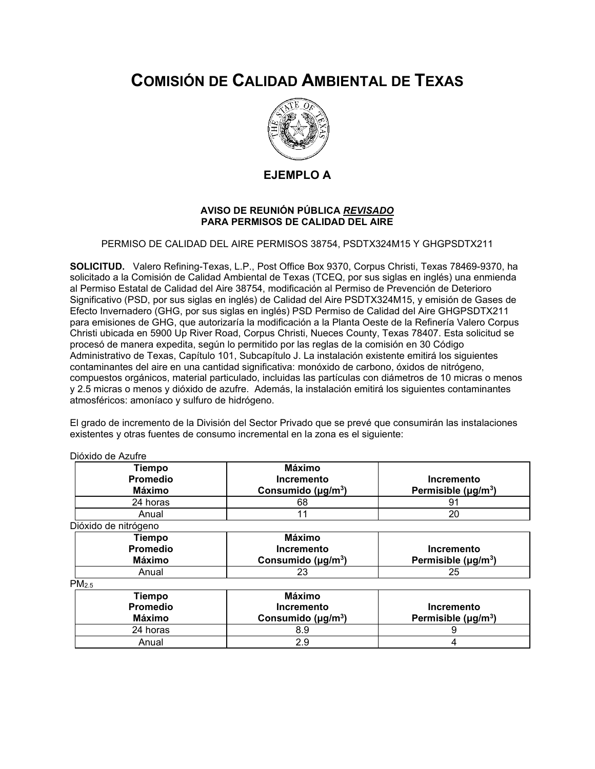# **COMISIÓN DE CALIDAD AMBIENTAL DE TEXAS**



## **EJEMPLO A**

### **AVISO DE REUNIÓN PÚBLICA** *REVISADO* **PARA PERMISOS DE CALIDAD DEL AIRE**

PERMISO DE CALIDAD DEL AIRE PERMISOS 38754, PSDTX324M15 Y GHGPSDTX211

**SOLICITUD.** Valero Refining-Texas, L.P., Post Office Box 9370, Corpus Christi, Texas 78469-9370, ha solicitado a la Comisión de Calidad Ambiental de Texas (TCEQ, por sus siglas en inglés) una enmienda al Permiso Estatal de Calidad del Aire 38754, modificación al Permiso de Prevención de Deterioro Significativo (PSD, por sus siglas en inglés) de Calidad del Aire PSDTX324M15, y emisión de Gases de Efecto Invernadero (GHG, por sus siglas en inglés) PSD Permiso de Calidad del Aire GHGPSDTX211 para emisiones de GHG, que autorizaría la modificación a la Planta Oeste de la Refinería Valero Corpus Christi ubicada en 5900 Up River Road, Corpus Christi, Nueces County, Texas 78407. Esta solicitud se procesó de manera expedita, según lo permitido por las reglas de la comisión en 30 Código Administrativo de Texas, Capítulo 101, Subcapítulo J. La instalación existente emitirá los siguientes contaminantes del aire en una cantidad significativa: monóxido de carbono, óxidos de nitrógeno, compuestos orgánicos, material particulado, incluidas las partículas con diámetros de 10 micras o menos y 2.5 micras o menos y dióxido de azufre. Además, la instalación emitirá los siguientes contaminantes atmosféricos: amoníaco y sulfuro de hidrógeno.

El grado de incremento de la División del Sector Privado que se prevé que consumirán las instalaciones existentes y otras fuentes de consumo incremental en la zona es el siguiente:

| Tiempo<br>Promedio<br>Máximo | Máximo<br>Incremento<br>Consumido ( $\mu$ g/m <sup>3</sup> ) | Incremento<br>Permisible $(\mu g/m^3)$ |
|------------------------------|--------------------------------------------------------------|----------------------------------------|
| 24 horas                     | 68                                                           | .9                                     |
| Anual                        |                                                              | 20                                     |
| Dióxido de nitrógeno         |                                                              |                                        |

| <b>Provide de lilliogene</b> |                                      |                          |  |  |
|------------------------------|--------------------------------------|--------------------------|--|--|
| Tiempo                       | Máximo                               |                          |  |  |
| <b>Promedio</b>              | <b>Incremento</b>                    | Incremento               |  |  |
| Máximo                       | Consumido ( $\mu$ g/m <sup>3</sup> ) | Permisible $(\mu g/m^3)$ |  |  |
| Anual                        | 23                                   | 25                       |  |  |

 $PM_{2.5}$ 

| $\cdots$ |          |                                      |                          |  |
|----------|----------|--------------------------------------|--------------------------|--|
|          | Tiempo   | Máximo                               |                          |  |
|          | Promedio | <b>Incremento</b>                    | Incremento               |  |
|          | Máximo   | Consumido ( $\mu$ g/m <sup>3</sup> ) | Permisible $(\mu q/m^3)$ |  |
|          | 24 horas | 8.9                                  |                          |  |
|          | Anual    | 2.9                                  |                          |  |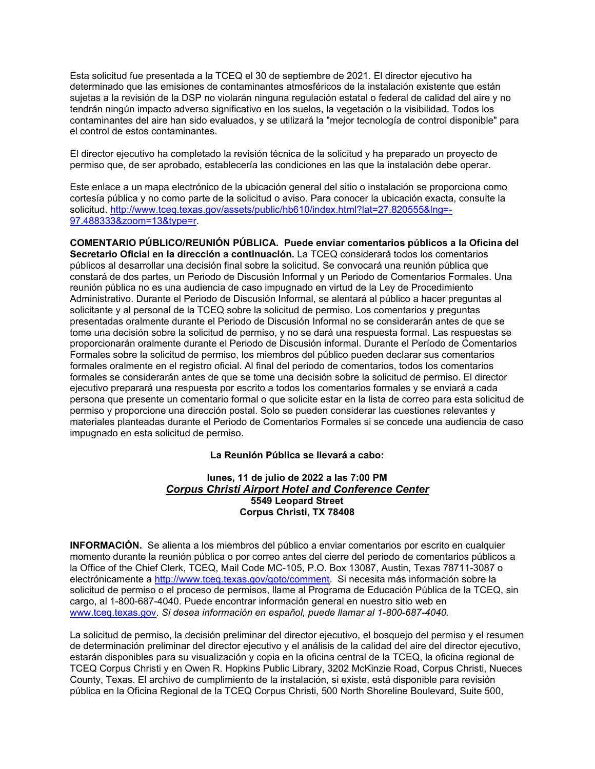Esta solicitud fue presentada a la TCEQ el 30 de septiembre de 2021. El director ejecutivo ha determinado que las emisiones de contaminantes atmosféricos de la instalación existente que están sujetas a la revisión de la DSP no violarán ninguna regulación estatal o federal de calidad del aire y no tendrán ningún impacto adverso significativo en los suelos, la vegetación o la visibilidad. Todos los contaminantes del aire han sido evaluados, y se utilizará la "mejor tecnología de control disponible" para el control de estos contaminantes.

El director ejecutivo ha completado la revisión técnica de la solicitud y ha preparado un proyecto de permiso que, de ser aprobado, establecería las condiciones en las que la instalación debe operar.

Este enlace a un mapa electrónico de la ubicación general del sitio o instalación se proporciona como cortesía pública y no como parte de la solicitud o aviso. Para conocer la ubicación exacta, consulte la solicitud. [http://www.tceq.texas.gov/assets/public/hb610/index.html?lat=27.820555&lng=-](http://www.tceq.texas.gov/assets/public/hb610/index.html?lat=27.820555&lng=-97.488333&zoom=13&type=r) [97.488333&zoom=13&type=r.](http://www.tceq.texas.gov/assets/public/hb610/index.html?lat=27.820555&lng=-97.488333&zoom=13&type=r)

**COMENTARIO PÚBLICO/REUNIÓN PÚBLICA. Puede enviar comentarios públicos a la Oficina del Secretario Oficial en la dirección a continuación.** La TCEQ considerará todos los comentarios públicos al desarrollar una decisión final sobre la solicitud. Se convocará una reunión pública que constará de dos partes, un Periodo de Discusión Informal y un Periodo de Comentarios Formales. Una reunión pública no es una audiencia de caso impugnado en virtud de la Ley de Procedimiento Administrativo. Durante el Periodo de Discusión Informal, se alentará al público a hacer preguntas al solicitante y al personal de la TCEQ sobre la solicitud de permiso. Los comentarios y preguntas presentadas oralmente durante el Periodo de Discusión Informal no se considerarán antes de que se tome una decisión sobre la solicitud de permiso, y no se dará una respuesta formal. Las respuestas se proporcionarán oralmente durante el Periodo de Discusión informal. Durante el Período de Comentarios Formales sobre la solicitud de permiso, los miembros del público pueden declarar sus comentarios formales oralmente en el registro oficial. Al final del periodo de comentarios, todos los comentarios formales se considerarán antes de que se tome una decisión sobre la solicitud de permiso. El director ejecutivo preparará una respuesta por escrito a todos los comentarios formales y se enviará a cada persona que presente un comentario formal o que solicite estar en la lista de correo para esta solicitud de permiso y proporcione una dirección postal. Solo se pueden considerar las cuestiones relevantes y materiales planteadas durante el Periodo de Comentarios Formales si se concede una audiencia de caso impugnado en esta solicitud de permiso.

## **La Reunión Pública se llevará a cabo:**

### **lunes, 11 de julio de 2022 a las 7:00 PM** *Corpus Christi Airport Hotel and Conference Center* **5549 Leopard Street Corpus Christi, TX 78408**

**INFORMACIÓN.** Se alienta a los miembros del público a enviar comentarios por escrito en cualquier momento durante la reunión pública o por correo antes del cierre del periodo de comentarios públicos a la Office of the Chief Clerk, TCEQ, Mail Code MC-105, P.O. Box 13087, Austin, Texas 78711-3087 o electrónicamente a [http://www.tceq.texas.gov/goto/comment.](http://www.tceq.texas.gov/goto/comment) Si necesita más información sobre la solicitud de permiso o el proceso de permisos, llame al Programa de Educación Pública de la TCEQ, sin cargo, al 1-800-687-4040. Puede encontrar información general en nuestro sitio web en [www.tceq.texas.gov.](http://www.tceq.texas.gov/) *Si desea información en español, puede llamar al 1-800-687-4040.*

La solicitud de permiso, la decisión preliminar del director ejecutivo, el bosquejo del permiso y el resumen de determinación preliminar del director ejecutivo y el análisis de la calidad del aire del director ejecutivo, estarán disponibles para su visualización y copia en la oficina central de la TCEQ, la oficina regional de TCEQ Corpus Christi y en Owen R. Hopkins Public Library, 3202 McKinzie Road, Corpus Christi, Nueces County, Texas. El archivo de cumplimiento de la instalación, si existe, está disponible para revisión pública en la Oficina Regional de la TCEQ Corpus Christi, 500 North Shoreline Boulevard, Suite 500,